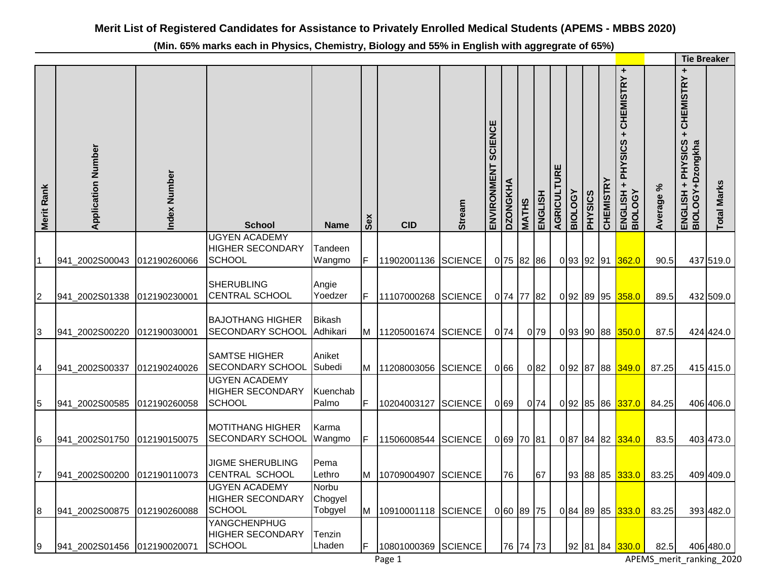**(Min. 65% marks each in Physics, Chemistry, Biology and 55% in English with aggregrate of 65%)** 

|                |                           |              |                                                                  |                             |    |                       |                |                               |                 |              |                  |             |                |                |                  |                                                                                        |               | <b>Tie Breaker</b>                                                                  |                    |
|----------------|---------------------------|--------------|------------------------------------------------------------------|-----------------------------|----|-----------------------|----------------|-------------------------------|-----------------|--------------|------------------|-------------|----------------|----------------|------------------|----------------------------------------------------------------------------------------|---------------|-------------------------------------------------------------------------------------|--------------------|
| Merit Rank     | <b>Application Number</b> | Index Number | <b>School</b>                                                    | <b>Name</b>                 | တိ | <b>CID</b>            | <b>Stream</b>  | <b>SCIENCE</b><br>ENVIRONMENT | <b>DZONGKHA</b> | <b>MATHS</b> | ENGLISH          | AGRICULTURE | <b>BIOLOGY</b> | <b>PHYSICS</b> | <b>CHEMISTRY</b> | ÷<br><b>CHEMISTRY</b><br>÷<br><b>PHYSICS</b><br>$\ddot{}$<br>ENGLISH<br><b>BIOLOGY</b> | ని<br>Average | $\ddot{}$<br><b>CHEMISTRY</b><br>$\ddot{}$<br>ENGLISH + PHYSICS<br>BIOLOGY+Dzongkha | <b>Total Marks</b> |
|                | 941_2002S00043            | 012190260066 | <b>UGYEN ACADEMY</b><br><b>HIGHER SECONDARY</b><br><b>SCHOOL</b> | Tandeen<br>Wangmo           | F  | 11902001136           | <b>SCIENCE</b> |                               | 0 75 82 86      |              |                  |             |                |                |                  | 093 92 91 362.0                                                                        | 90.5          |                                                                                     | 437 519.0          |
| 2              | 941_2002S01338            | 012190230001 | <b>SHERUBLING</b><br><b>CENTRAL SCHOOL</b>                       | Angie<br>Yoedzer            | F  | 11107000268           | <b>SCIENCE</b> |                               | 0 74 77         |              | 82               |             | 0 92 89        |                |                  | 95 358.0                                                                               | 89.5          |                                                                                     | 432 509.0          |
| 3              | 941_2002S00220            | 012190030001 | <b>BAJOTHANG HIGHER</b><br>SECONDARY SCHOOL                      | <b>Bikash</b><br>Adhikari   |    | M 11205001674 SCIENCE |                |                               | 0 74            |              | $0\overline{79}$ |             |                |                |                  | 093 90 88 350.0                                                                        | 87.5          |                                                                                     | 424 424.0          |
| 4              | 941_2002S00337            | 012190240026 | <b>SAMTSE HIGHER</b><br>SECONDARY SCHOOL                         | Aniket<br>Subedi            |    | M 11208003056         | <b>SCIENCE</b> |                               | 066             |              | 082              |             |                |                |                  | 092 87 88 349.0                                                                        | 87.25         |                                                                                     | 415 415.0          |
| 5              | 941_2002S00585            | 012190260058 | <b>UGYEN ACADEMY</b><br><b>HIGHER SECONDARY</b><br><b>SCHOOL</b> | Kuenchab<br>Palmo           | F  | 10204003127           | <b>SCIENCE</b> |                               | 0 <sub>69</sub> |              | 0 <sub>74</sub>  |             | 092 85         |                |                  | 86 337.0                                                                               | 84.25         |                                                                                     | 406 406.0          |
| 6              | 941_2002S01750            | 012190150075 | <b>MOTITHANG HIGHER</b><br>SECONDARY SCHOOL                      | Karma<br>Wangmo             | F  | 11506008544           | <b>SCIENCE</b> |                               | 0 69 70 81      |              |                  |             |                |                |                  | 087 84 82 334.0                                                                        | 83.5          |                                                                                     | 403 473.0          |
| $\overline{7}$ | 941_2002S00200            | 012190110073 | <b>JIGME SHERUBLING</b><br>CENTRAL SCHOOL                        | Pema<br>Lethro              | M  | 10709004907           | <b>SCIENCE</b> |                               | 76              |              | 67               |             |                |                |                  | 93 88 85 <mark>333.0</mark>                                                            | 83.25         |                                                                                     | 409 409.0          |
| $\bf8$         | 941_2002S00875            | 012190260088 | <b>UGYEN ACADEMY</b><br><b>HIGHER SECONDARY</b><br><b>SCHOOL</b> | Norbu<br>Chogyel<br>Tobgyel | M  | 10910001118           | <b>SCIENCE</b> |                               | 0 60 89         |              | 75               |             | 0 84 89        |                |                  | 85 333.0                                                                               | 83.25         |                                                                                     | 393 482.0          |
| 9              | 941 2002S01456            | 012190020071 | YANGCHENPHUG<br><b>HIGHER SECONDARY</b><br><b>SCHOOL</b>         | Tenzin<br>Lhaden            | F  | 10801000369 SCIENCE   |                |                               | 76 74 73        |              |                  |             |                |                |                  | 92 81 84 330.0                                                                         | 82.5          |                                                                                     | 406 480.0          |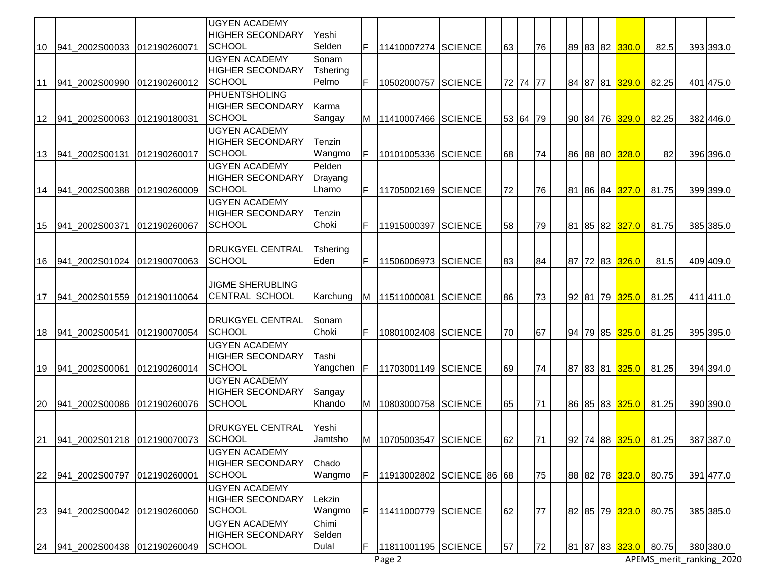|     |                             |              | <b>UGYEN ACADEMY</b>                            |                   |    |                     |                      |    |          |    |    |  |                             |       |           |
|-----|-----------------------------|--------------|-------------------------------------------------|-------------------|----|---------------------|----------------------|----|----------|----|----|--|-----------------------------|-------|-----------|
| 10  | 941 2002S00033              | 012190260071 | <b>HIGHER SECONDARY</b><br><b>SCHOOL</b>        | Yeshi<br>Selden   |    | 11410007274 SCIENCE |                      | 63 |          | 76 |    |  | 89 83 82 330.0              | 82.5  | 393 393.0 |
|     |                             |              | <b>UGYEN ACADEMY</b>                            | Sonam             |    |                     |                      |    |          |    |    |  |                             |       |           |
|     |                             |              | <b>HIGHER SECONDARY</b><br><b>SCHOOL</b>        | Tshering<br>Pelmo | F  |                     |                      |    | 72 74 77 |    |    |  |                             |       |           |
| 111 | 941 2002S00990              | 012190260012 | PHUENTSHOLING                                   |                   |    | 10502000757         | <b>SCIENCE</b>       |    |          |    |    |  | 84 87 81 329.0              | 82.25 | 401 475.0 |
|     |                             |              | <b>HIGHER SECONDARY</b>                         | Karma             |    |                     |                      |    |          |    |    |  |                             |       |           |
| 12  | 941_2002S00063              | 012190180031 | <b>SCHOOL</b>                                   | Sangay            | M  | 11410007466 SCIENCE |                      |    | 53 64 79 |    |    |  | 90 84 76 329.0              | 82.25 | 382 446.0 |
|     |                             |              | <b>UGYEN ACADEMY</b><br><b>HIGHER SECONDARY</b> | Tenzin            |    |                     |                      |    |          |    |    |  |                             |       |           |
| 13  | 941_2002S00131              | 012190260017 | <b>SCHOOL</b>                                   | Wangmo            | F  | 10101005336         | <b>SCIENCE</b>       | 68 |          | 74 |    |  | 86 88 80 328.0              | 82    | 396 396.0 |
|     |                             |              | <b>UGYEN ACADEMY</b>                            | Pelden            |    |                     |                      |    |          |    |    |  |                             |       |           |
|     |                             |              | <b>HIGHER SECONDARY</b>                         | Drayang           |    |                     |                      |    |          |    |    |  |                             |       |           |
| 14  | 941_2002S00388              | 012190260009 | <b>SCHOOL</b><br><b>UGYEN ACADEMY</b>           | Lhamo             | F  | 11705002169         | <b>SCIENCE</b>       | 72 |          | 76 | 81 |  | 86 84 327.0                 | 81.75 | 399 399.0 |
|     |                             |              | <b>HIGHER SECONDARY</b>                         | Tenzin            |    |                     |                      |    |          |    |    |  |                             |       |           |
| 15  | 941_2002S00371              | 012190260067 | <b>SCHOOL</b>                                   | Choki             | F  | 11915000397         | <b>SCIENCE</b>       | 58 |          | 79 |    |  | 81 85 82 327.0              | 81.75 | 385 385.0 |
|     |                             |              |                                                 |                   |    |                     |                      |    |          |    |    |  |                             |       |           |
| 16  | 941_2002S01024              | 012190070063 | <b>DRUKGYEL CENTRAL</b><br><b>SCHOOL</b>        | Tshering<br>Eden  | F  | 11506006973         | <b>SCIENCE</b>       | 83 |          | 84 |    |  | 87 72 83 326.0              | 81.5  | 409 409.0 |
|     |                             |              |                                                 |                   |    |                     |                      |    |          |    |    |  |                             |       |           |
|     |                             |              | <b>JIGME SHERUBLING</b>                         |                   |    |                     |                      |    |          |    |    |  |                             |       |           |
| 17  | 941_2002S01559              | 012190110064 | <b>CENTRAL SCHOOL</b>                           | Karchung          | M  | 11511000081         | <b>SCIENCE</b>       | 86 |          | 73 |    |  | 92 81 79 <mark>325.0</mark> | 81.25 | 411 411.0 |
|     |                             |              | <b>DRUKGYEL CENTRAL</b>                         | Sonam             |    |                     |                      |    |          |    |    |  |                             |       |           |
| 18  | 941_2002S00541              | 012190070054 | SCHOOL                                          | Choki             | F  | 10801002408         | <b>SCIENCE</b>       | 70 |          | 67 |    |  | 94 79 85 325.0              | 81.25 | 395 395.0 |
|     |                             |              | <b>UGYEN ACADEMY</b>                            |                   |    |                     |                      |    |          |    |    |  |                             |       |           |
| 19  | 941_2002S00061              | 012190260014 | <b>HIGHER SECONDARY</b><br><b>SCHOOL</b>        | Tashi<br>Yangchen | IF | 11703001149         | <b>SCIENCE</b>       | 69 |          | 74 |    |  | 87 83 81 325.0              | 81.25 | 394 394.0 |
|     |                             |              | <b>UGYEN ACADEMY</b>                            |                   |    |                     |                      |    |          |    |    |  |                             |       |           |
|     |                             |              | <b>HIGHER SECONDARY</b>                         | Sangay            |    |                     |                      |    |          |    |    |  |                             |       |           |
| 20  | 941 2002S00086              | 012190260076 | <b>SCHOOL</b>                                   | Khando            | M  | 10803000758         | <b>SCIENCE</b>       | 65 |          | 71 |    |  | 86 85 83 325.0              | 81.25 | 390 390.0 |
|     |                             |              | <b>DRUKGYEL CENTRAL</b>                         | Yeshi             |    |                     |                      |    |          |    |    |  |                             |       |           |
| 21  |                             |              | <b>SCHOOL</b>                                   | Jamtsho           | M  | 10705003547 SCIENCE |                      | 62 |          | 71 |    |  | 92 74 88 325.0              | 81.25 | 387 387.0 |
|     |                             |              | <b>UGYEN ACADEMY</b>                            |                   |    |                     |                      |    |          |    |    |  |                             |       |           |
| 22  | 941_2002S00797              | 012190260001 | <b>HIGHER SECONDARY</b><br><b>SCHOOL</b>        | Chado<br>Wangmo   | F  | 11913002802         | <b>SCIENCE 86 68</b> |    |          | 75 |    |  | 88 82 78 323.0              | 80.75 | 391 477.0 |
|     |                             |              | <b>UGYEN ACADEMY</b>                            |                   |    |                     |                      |    |          |    |    |  |                             |       |           |
|     |                             |              | <b>HIGHER SECONDARY</b>                         | Lekzin            |    |                     |                      |    |          |    |    |  |                             |       |           |
| 23  | 941_2002S00042              | 012190260060 | SCHOOL                                          | Wangmo            | F  | 11411000779         | <b>SCIENCE</b>       | 62 |          | 77 |    |  | 82 85 79 323.0              | 80.75 | 385 385.0 |
|     |                             |              | <b>UGYEN ACADEMY</b><br><b>HIGHER SECONDARY</b> | Chimi<br>Selden   |    |                     |                      |    |          |    |    |  |                             |       |           |
| 24  | 941_2002S00438 012190260049 |              | SCHOOL                                          | Dulal             | F  | 11811001195 SCIENCE |                      | 57 |          | 72 |    |  | 81 87 83 323.0              | 80.75 | 380 380.0 |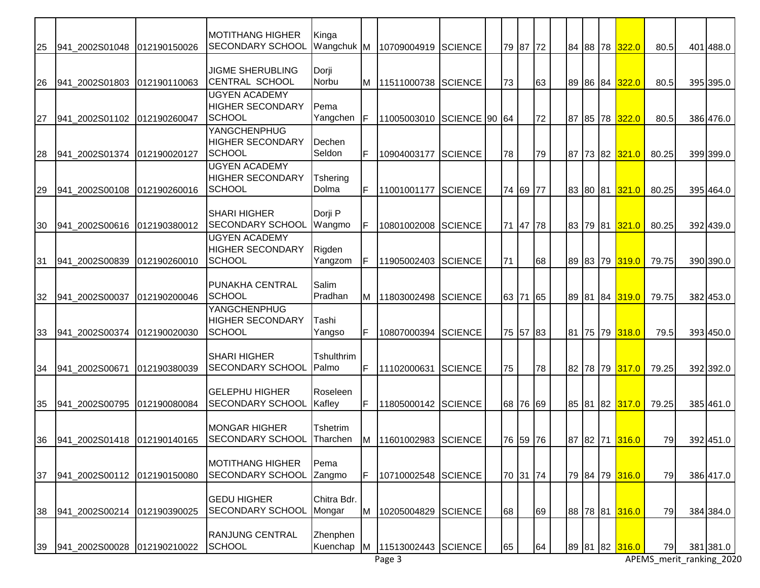| 25 | 941 2002S01048              | 012190150026 | <b>MOTITHANG HIGHER</b><br>SECONDARY SCHOOL      | Kinga<br>Wangchuk M        |     | 10709004919         | <b>SCIENCE</b> |    | 79 87 72 |    |  |          | 84 88 78 322.0              | 80.5  | 401 488.0 |
|----|-----------------------------|--------------|--------------------------------------------------|----------------------------|-----|---------------------|----------------|----|----------|----|--|----------|-----------------------------|-------|-----------|
|    |                             |              |                                                  |                            |     |                     |                |    |          |    |  |          |                             |       |           |
| 26 | 941_2002S01803              | 012190110063 | <b>JIGME SHERUBLING</b><br><b>CENTRAL SCHOOL</b> | Dorji<br>Norbu             | M   | 11511000738 SCIENCE |                | 73 |          | 63 |  |          | 89 86 84 <mark>322.0</mark> | 80.5  | 395 395.0 |
|    |                             |              | <b>UGYEN ACADEMY</b>                             |                            |     |                     |                |    |          |    |  |          |                             |       |           |
|    |                             |              | <b>HIGHER SECONDARY</b>                          | Pema                       |     |                     |                |    |          |    |  |          |                             |       |           |
| 27 | 941_2002S01102              | 012190260047 | <b>SCHOOL</b><br>YANGCHENPHUG                    | Yangchen                   | IF  | 11005003010         | SCIENCE 90 64  |    |          | 72 |  |          | 87 85 78 322.0              | 80.5  | 386 476.0 |
|    |                             |              | <b>HIGHER SECONDARY</b>                          | Dechen                     |     |                     |                |    |          |    |  |          |                             |       |           |
| 28 | 941_2002S01374              | 012190020127 | <b>SCHOOL</b>                                    | Seldon                     | F   | 10904003177         | <b>SCIENCE</b> | 78 |          | 79 |  |          | 87 73 82 321.0              | 80.25 | 399 399.0 |
|    |                             |              | <b>UGYEN ACADEMY</b><br><b>HIGHER SECONDARY</b>  | Tshering                   |     |                     |                |    |          |    |  |          |                             |       |           |
| 29 | 941_2002S00108              | 012190260016 | <b>SCHOOL</b>                                    | Dolma                      | F   | 11001001177         | <b>SCIENCE</b> |    | 74 69 77 |    |  | 83 80 81 | 321.0                       | 80.25 | 395 464.0 |
|    |                             |              |                                                  |                            |     |                     |                |    |          |    |  |          |                             |       |           |
| 30 | 941_2002S00616              | 012190380012 | <b>SHARI HIGHER</b><br>SECONDARY SCHOOL          | Dorji P<br>Wangmo          | F   | 10801002008         | SCIENCE        |    | 71 47 78 |    |  |          | 83 79 81 321.0              | 80.25 | 392 439.0 |
|    |                             |              | <b>UGYEN ACADEMY</b>                             |                            |     |                     |                |    |          |    |  |          |                             |       |           |
|    |                             |              | <b>HIGHER SECONDARY</b>                          | Rigden                     |     |                     |                |    |          |    |  |          |                             |       |           |
| 31 | 941_2002S00839              | 012190260010 | <b>SCHOOL</b>                                    | Yangzom                    | IF. | 11905002403         | <b>SCIENCE</b> | 71 |          | 68 |  |          | 89 83 79 319.0              | 79.75 | 390 390.0 |
|    |                             |              | <b>PUNAKHA CENTRAL</b>                           | Salim                      |     |                     |                |    |          |    |  |          |                             |       |           |
| 32 | 941_2002S00037              | 012190200046 | <b>SCHOOL</b>                                    | Pradhan                    | M   | 11803002498         | <b>SCIENCE</b> |    | 63 71 65 |    |  |          | 89 81 84 319.0              | 79.75 | 382 453.0 |
|    |                             |              | <b>YANGCHENPHUG</b>                              |                            |     |                     |                |    |          |    |  |          |                             |       |           |
| 33 | 941_2002S00374              | 012190020030 | <b>HIGHER SECONDARY</b><br><b>SCHOOL</b>         | Tashi<br>Yangso            | F   | 10807000394         | <b>SCIENCE</b> |    | 75 57 83 |    |  |          | 81 75 79 318.0              | 79.5  | 393 450.0 |
|    |                             |              |                                                  |                            |     |                     |                |    |          |    |  |          |                             |       |           |
|    |                             |              | <b>SHARI HIGHER</b><br><b>SECONDARY SCHOOL</b>   | <b>Tshulthrim</b><br>Palmo | F   |                     |                |    |          |    |  |          |                             |       |           |
| 34 | 941_2002S00671              | 012190380039 |                                                  |                            |     | 11102000631         | <b>SCIENCE</b> | 75 |          | 78 |  |          | 82 78 79 317.0              | 79.25 | 392 392.0 |
|    |                             |              | <b>GELEPHU HIGHER</b>                            | Roseleen                   |     |                     |                |    |          |    |  |          |                             |       |           |
| 35 | 941 2002S00795              | 012190080084 | SECONDARY SCHOOL                                 | Kafley                     | F   | 11805000142 SCIENCE |                |    | 68 76 69 |    |  |          | 85 81 82 317.0              | 79.25 | 385 461.0 |
|    |                             |              | <b>MONGAR HIGHER</b>                             | <b>Tshetrim</b>            |     |                     |                |    |          |    |  |          |                             |       |           |
| 36 | 941 2002S01418 012190140165 |              | <b>SECONDARY SCHOOL</b>                          | Tharchen                   | M   | 11601002983 SCIENCE |                |    | 76 59 76 |    |  |          | 87 82 71 316.0              | 79    | 392 451.0 |
|    |                             |              |                                                  |                            |     |                     |                |    |          |    |  |          |                             |       |           |
| 37 | 941_2002S00112              | 012190150080 | MOTITHANG HIGHER<br><b>SECONDARY SCHOOL</b>      | Pema<br>Zangmo             | F   | 10710002548         | <b>SCIENCE</b> |    | 70 31 74 |    |  |          | 79 84 79 316.0              | 79    | 386 417.0 |
|    |                             |              |                                                  |                            |     |                     |                |    |          |    |  |          |                             |       |           |
|    |                             |              | <b>GEDU HIGHER</b><br><b>SECONDARY SCHOOL</b>    | Chitra Bdr.                |     |                     |                |    |          |    |  |          |                             |       |           |
| 38 | 941_2002S00214              | 012190390025 |                                                  | Mongar                     | M   | 10205004829         | <b>SCIENCE</b> | 68 |          | 69 |  | 88 78 81 | 316.0                       | 79    | 384 384.0 |
|    |                             |              | <b>RANJUNG CENTRAL</b>                           | Zhenphen                   |     |                     |                |    |          |    |  |          |                             |       |           |
| 39 | 941_2002S00028              | 012190210022 | SCHOOL                                           | Kuenchap                   | M   | 11513002443 SCIENCE |                | 65 |          | 64 |  |          | 89 81 82 316.0              | 79    | 381 381.0 |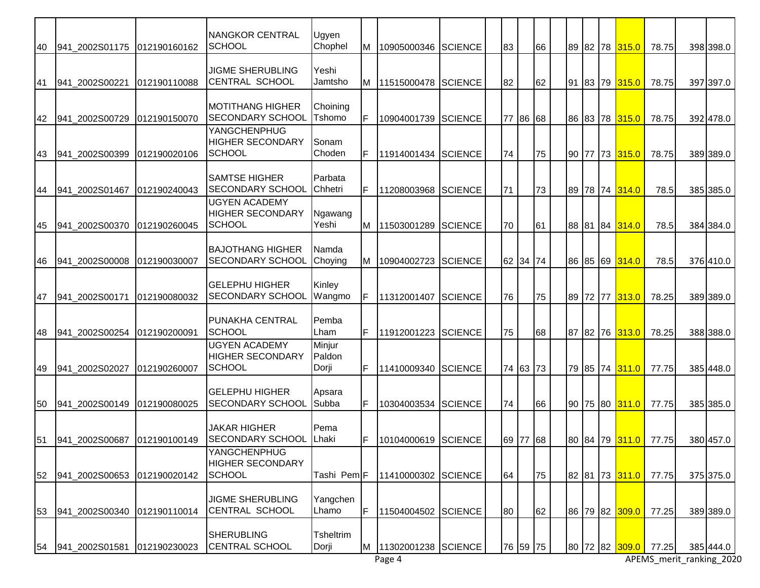| 40 | 941_2002S01175 | 012190160162  | <b>NANGKOR CENTRAL</b><br><b>SCHOOL</b>                          | Ugyen<br>Chophel          | M  | 10905000346 SCIENCE |                | 83       | 66 |  |  | 89 82 78 315.0                   | 78.75                | 398 398.0 |
|----|----------------|---------------|------------------------------------------------------------------|---------------------------|----|---------------------|----------------|----------|----|--|--|----------------------------------|----------------------|-----------|
| 41 | 941 2002S00221 | 012190110088  | <b>JIGME SHERUBLING</b><br><b>CENTRAL SCHOOL</b>                 | Yeshi<br>Jamtsho          | M  | 11515000478 SCIENCE |                | 82       | 62 |  |  | 91 83 79 315.0                   | 78.75                | 397 397.0 |
| 42 | 941_2002S00729 | 012190150070  | MOTITHANG HIGHER<br><b>SECONDARY SCHOOL</b>                      | Choining<br>Tshomo        | F  | 10904001739         | <b>SCIENCE</b> | 77 86 68 |    |  |  | 86 83 78 315.0                   | 78.75                | 392 478.0 |
| 43 | 941_2002S00399 | 012190020106  | YANGCHENPHUG<br><b>HIGHER SECONDARY</b><br><b>SCHOOL</b>         | Sonam<br>Choden           | IF | 11914001434         | <b>SCIENCE</b> | 74       | 75 |  |  | 90 77 73 315.0                   | 78.75                | 389 389.0 |
| 44 | 941 2002S01467 | 1012190240043 | <b>SAMTSE HIGHER</b><br>SECONDARY SCHOOL                         | Parbata<br>Chhetri        | IF | 11208003968         | <b>SCIENCE</b> | 71       | 73 |  |  | 89 78 74 314.0                   | 78.5                 | 385 385.0 |
| 45 | 941_2002S00370 | 1012190260045 | <b>UGYEN ACADEMY</b><br><b>HIGHER SECONDARY</b><br><b>SCHOOL</b> | Ngawang<br>Yeshi          | M  | 11503001289         | <b>SCIENCE</b> | 70       | 61 |  |  | 88 81 84 314.0                   | 78.5                 | 384 384.0 |
| 46 | 941 2002S00008 | 012190030007  | <b>BAJOTHANG HIGHER</b><br>SECONDARY SCHOOL                      | Namda<br>Choying          | M  | 10904002723         | <b>SCIENCE</b> | 62 34 74 |    |  |  | 86 85 69 314.0                   | 78.5                 | 376 410.0 |
| 47 | 941_2002S00171 | 012190080032  | <b>GELEPHU HIGHER</b><br>SECONDARY SCHOOL                        | Kinley<br>Wangmo          | F  | 11312001407         | <b>SCIENCE</b> | 76       | 75 |  |  | 89 72 77 313.0                   | 78.25                | 389 389.0 |
| 48 | 941_2002S00254 | 012190200091  | <b>PUNAKHA CENTRAL</b><br><b>SCHOOL</b>                          | Pemba<br>Lham             | IF | 11912001223         | <b>SCIENCE</b> | 75       | 68 |  |  | 87 82 76 313.0                   | 78.25                | 388 388.0 |
| 49 | 941 2002S02027 | 012190260007  | <b>UGYEN ACADEMY</b><br><b>HIGHER SECONDARY</b><br><b>SCHOOL</b> | Minjur<br>Paldon<br>Dorji | IF | 11410009340         | <b>SCIENCE</b> | 74 63 73 |    |  |  | 79 85 74 311.0                   | 77.75                | 385 448.0 |
| 50 | 941 2002S00149 | 012190080025  | <b>GELEPHU HIGHER</b><br>SECONDARY SCHOOL                        | Apsara<br>Subba           | IF | 10304003534 SCIENCE |                | 74       | 66 |  |  | 90 75 80 311.0                   | 77.75                | 385 385.0 |
| 51 | 941 2002S00687 | 012190100149  | <b>JAKAR HIGHER</b><br><b>SECONDARY SCHOOL</b>                   | Pema<br><b>IL</b> haki    | F  | 10104000619 SCIENCE |                | 69 77 68 |    |  |  |                                  | 80 84 79 311.0 77.75 | 380 457.0 |
| 52 | 941 2002S00653 | 012190020142  | YANGCHENPHUG<br><b>HIGHER SECONDARY</b><br><b>SCHOOL</b>         | Tashi Pem <sub>F</sub>    |    | 11410000302         | <b>SCIENCE</b> | 64       | 75 |  |  | 82 81 73 311.0                   | 77.75                | 375 375.0 |
| 53 | 941_2002S00340 | 1012190110014 | <b>JIGME SHERUBLING</b><br><b>CENTRAL SCHOOL</b>                 | Yangchen<br>Lhamo         | IF | 11504004502         | <b>SCIENCE</b> | 80       | 62 |  |  | 86 79 82 309.0                   | 77.25                | 389 389.0 |
| 54 | 941_2002S01581 | 012190230023  | SHERUBLING<br>CENTRAL SCHOOL                                     | <b>Tsheltrim</b><br>Dorji | M  | 11302001238 SCIENCE |                | 76 59 75 |    |  |  | 80  72  82 <mark> 309.0  </mark> | 77.25                | 385 444.0 |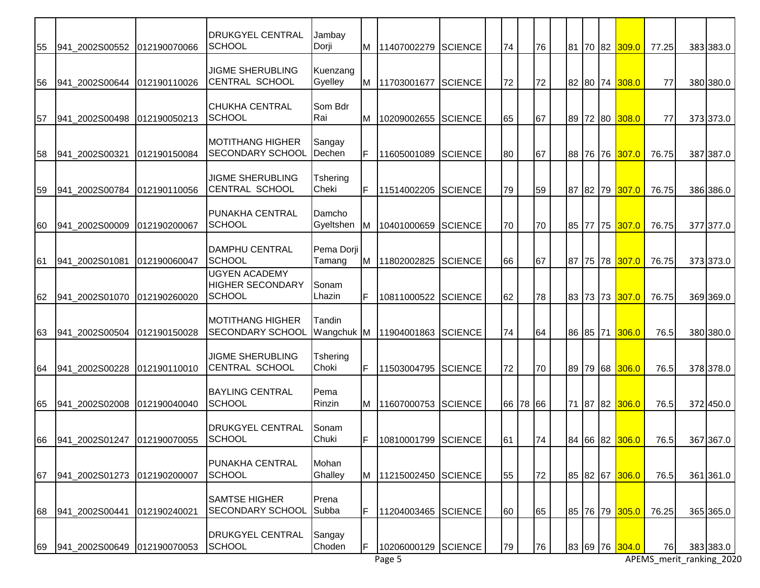| 55 | 941 2002S00552 | 012190070066 | <b>DRUKGYEL CENTRAL</b><br>SCHOOL                         | Jambay<br>Dorji      |     | M 11407002279       | <b>SCIENCE</b> | 74 |          | 76 |    |          | 81 70 82 <mark>309.0  </mark> | 77.25 | 383 383.0                |
|----|----------------|--------------|-----------------------------------------------------------|----------------------|-----|---------------------|----------------|----|----------|----|----|----------|-------------------------------|-------|--------------------------|
| 56 | 941 2002S00644 | 012190110026 | <b>JIGME SHERUBLING</b><br><b>CENTRAL SCHOOL</b>          | Kuenzang<br>Gyelley  |     | M 11703001677       | <b>SCIENCE</b> | 72 |          | 72 |    |          | 82 80 74 308.0                | 77    | 380 380.0                |
| 57 | 941_2002S00498 | 012190050213 | <b>CHUKHA CENTRAL</b><br>SCHOOL                           | Som Bdr<br>Rai       | M   | 10209002655         | <b>SCIENCE</b> | 65 |          | 67 |    |          | 89 72 80 308.0                | 77    | 373 373.0                |
| 58 | 941_2002S00321 | 012190150084 | <b>MOTITHANG HIGHER</b><br><b>SECONDARY SCHOOL</b>        | Sangay<br>Dechen     | F   | 11605001089         | <b>SCIENCE</b> | 80 |          | 67 |    |          | 88 76 76 307.0                | 76.75 | 387 387.0                |
| 59 | 941_2002S00784 | 012190110056 | <b>JIGME SHERUBLING</b><br><b>CENTRAL SCHOOL</b>          | Tshering<br>Cheki    | F   | 11514002205         | <b>SCIENCE</b> | 79 |          | 59 | 87 | 82 79    | 307.0                         | 76.75 | 386 386.0                |
| 60 | 941 2002S00009 | 012190200067 | PUNAKHA CENTRAL<br><b>SCHOOL</b>                          | Damcho<br>Gyeltshen  | M   | 10401000659         | <b>SCIENCE</b> | 70 |          | 70 |    | 85 77 75 | 307.0                         | 76.75 | 377 377.0                |
| 61 | 941_2002S01081 | 012190060047 | <b>DAMPHU CENTRAL</b><br><b>SCHOOL</b>                    | Pema Dorji<br>Tamang | M I | 11802002825         | <b>SCIENCE</b> | 66 |          | 67 |    |          | 87 75 78 307.0                | 76.75 | 373 373.0                |
| 62 | 941_2002S01070 | 012190260020 | <b>UGYEN ACADEMY</b><br><b>HIGHER SECONDARY</b><br>SCHOOL | Sonam<br>Lhazin      | F.  | 10811000522         | <b>SCIENCE</b> | 62 |          | 78 |    |          | 83 73 73 307.0                | 76.75 | 369 369.0                |
| 63 | 941_2002S00504 | 012190150028 | <b>MOTITHANG HIGHER</b><br><b>SECONDARY SCHOOL</b>        | Tandin<br>Wangchuk M |     | 11904001863         | <b>SCIENCE</b> | 74 |          | 64 |    |          | 86 85 71 306.0                | 76.5  | 380 380.0                |
| 64 | 941_2002S00228 | 012190110010 | <b>JIGME SHERUBLING</b><br><b>CENTRAL SCHOOL</b>          | Tshering<br>Choki    | IF. | 11503004795         | <b>SCIENCE</b> | 72 |          | 70 |    | 89 79 68 | 306.0                         | 76.5  | 378 378.0                |
| 65 | 941 2002S02008 | 012190040040 | <b>BAYLING CENTRAL</b><br><b>SCHOOL</b>                   | Pema<br>Rinzin       |     | M   11607000753     | <b>SCIENCE</b> |    | 66 78 66 |    |    |          | 71 87 82 306.0                | 76.5  | 372 450.0                |
| 66 |                |              | <b>DRUKGYEL CENTRAL</b><br><b>SCHOOL</b>                  | Sonam<br>Chuki       | F.  | 10810001799 SCIENCE |                | 61 |          | 74 |    |          | 84 66 82 306.0                | 76.5  | 367 367.0                |
| 67 | 941_2002S01273 | 012190200007 | PUNAKHA CENTRAL<br><b>SCHOOL</b>                          | Mohan<br>Ghalley     |     | M 11215002450       | <b>SCIENCE</b> | 55 |          | 72 |    |          | 85 82 67 306.0                | 76.5  | 361 361.0                |
| 68 | 941 2002S00441 | 012190240021 | <b>SAMTSE HIGHER</b><br>SECONDARY SCHOOL                  | Prena<br>Subba       | F   | 11204003465         | <b>SCIENCE</b> | 60 |          | 65 |    |          | 85 76 79 305.0                | 76.25 | 365 365.0                |
| 69 | 941_2002S00649 | 012190070053 | <b>DRUKGYEL CENTRAL</b><br><b>SCHOOL</b>                  | Sangay<br>Choden     | F   | 10206000129 SCIENCE |                | 79 |          | 76 |    | 83 69 76 | 304.0                         | 76    | 383 383.0                |
|    |                |              |                                                           |                      |     | Page 5              |                |    |          |    |    |          |                               |       | APEMS_merit_ranking_2020 |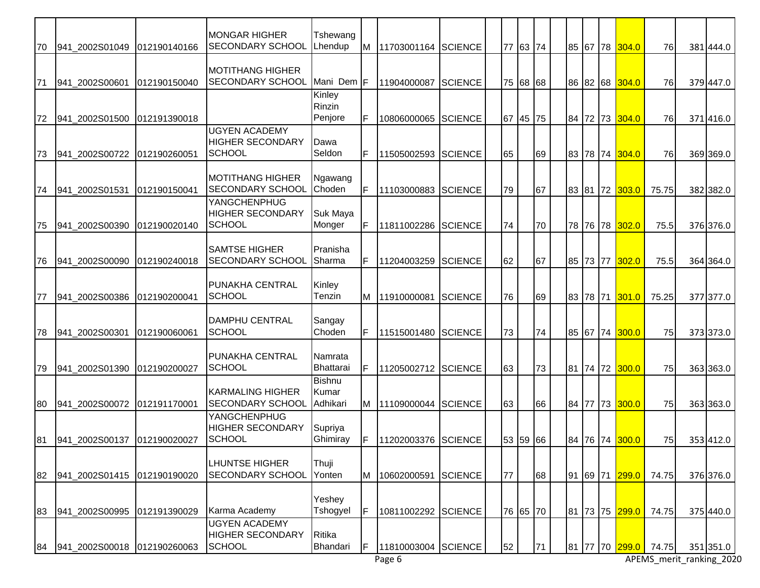|    |                |               | <b>MONGAR HIGHER</b>                               | Tshewang                   |    |                     |                |    |          |    |    |       |          |                               |             |                          |
|----|----------------|---------------|----------------------------------------------------|----------------------------|----|---------------------|----------------|----|----------|----|----|-------|----------|-------------------------------|-------------|--------------------------|
| 70 | 941 2002S01049 | 012190140166  | SECONDARY SCHOOL                                   | Lhendup                    | M  | 11703001164         | <b>SCIENCE</b> |    | 77 63 74 |    |    |       |          | 85 67 78 304.0                | 76          | 381 444.0                |
|    |                |               | MOTITHANG HIGHER                                   |                            |    |                     |                |    |          |    |    |       |          |                               |             |                          |
| 71 | 941_2002S00601 | 012190150040  | <b>SECONDARY SCHOOL</b>                            | Mani Dem F                 |    | 11904000087         | <b>SCIENCE</b> |    | 75 68 68 |    |    |       |          | 86 82 68 304.0                | 76          | 379 447.0                |
|    |                |               |                                                    | Kinley<br>Rinzin           |    |                     |                |    |          |    |    |       |          |                               |             |                          |
| 72 | 941_2002S01500 | 012191390018  |                                                    | Penjore                    | F. | 10806000065         | <b>SCIENCE</b> |    | 67 45 75 |    |    |       |          | 84 72 73 304.0                | 76          | 371416.0                 |
|    |                |               | <b>UGYEN ACADEMY</b><br><b>HIGHER SECONDARY</b>    | Dawa                       |    |                     |                |    |          |    |    |       |          |                               |             |                          |
| 73 | 941_2002S00722 | 012190260051  | SCHOOL                                             | Seldon                     | F  | 11505002593         | <b>SCIENCE</b> | 65 |          | 69 |    |       |          | 83 78 74 304.0                | 76          | 369 369.0                |
|    |                |               |                                                    |                            |    |                     |                |    |          |    |    |       |          |                               |             |                          |
| 74 | 941_2002S01531 | 012190150041  | <b>MOTITHANG HIGHER</b><br><b>SECONDARY SCHOOL</b> | Ngawang<br>Choden          |    | 11103000883         | <b>SCIENCE</b> | 79 |          | 67 |    | 83 81 | 72       | 303.0                         | 75.75       | 382 382.0                |
|    |                |               | YANGCHENPHUG                                       |                            |    |                     |                |    |          |    |    |       |          |                               |             |                          |
| 75 | 941 2002S00390 | 1012190020140 | <b>HIGHER SECONDARY</b><br><b>SCHOOL</b>           | Suk Maya<br>Monger         |    | 11811002286         | <b>SCIENCE</b> | 74 |          | 70 |    |       |          | 78 76 78 302.0                | 75.5        | 376 376.0                |
|    |                |               |                                                    |                            |    |                     |                |    |          |    |    |       |          |                               |             |                          |
| 76 | 941 2002S00090 | 012190240018  | <b>SAMTSE HIGHER</b><br>SECONDARY SCHOOL           | Pranisha<br>Sharma         | F. | 11204003259         | <b>SCIENCE</b> | 62 |          | 67 |    |       | 85 73 77 | 302.0                         | 75.5        | 364 364.0                |
|    |                |               |                                                    |                            |    |                     |                |    |          |    |    |       |          |                               |             |                          |
| 77 | 941_2002S00386 | 012190200041  | <b>PUNAKHA CENTRAL</b><br>SCHOOL                   | Kinley<br>Tenzin           | M  | 11910000081         | <b>SCIENCE</b> | 76 |          | 69 |    |       |          | 83 78 71 301.0                | 75.25       | 377 377.0                |
|    |                |               |                                                    |                            |    |                     |                |    |          |    |    |       |          |                               |             |                          |
|    |                |               | <b>DAMPHU CENTRAL</b>                              | Sangay                     |    |                     |                |    |          |    |    |       |          |                               |             |                          |
| 78 | 941_2002S00301 | 012190060061  | SCHOOL                                             | Choden                     | F  | 11515001480         | <b>SCIENCE</b> | 73 |          | 74 |    |       | 85 67 74 | 300.0                         | 75          | 373 373.0                |
|    |                |               | <b>PUNAKHA CENTRAL</b>                             | Namrata                    |    |                     |                |    |          |    |    |       |          |                               |             |                          |
| 79 | 941_2002S01390 | 012190200027  | <b>SCHOOL</b>                                      | Bhattarai<br><b>Bishnu</b> | F  | 11205002712         | <b>SCIENCE</b> | 63 |          | 73 |    |       | 81 74 72 | 300.0                         | 75          | 363 363.0                |
|    |                |               | <b>KARMALING HIGHER</b>                            | Kumar                      |    |                     |                |    |          |    |    |       |          |                               |             |                          |
| 80 | 941 2002S00072 | 012191170001  | SECONDARY SCHOOL                                   | Adhikari                   |    | M 11109000044       | <b>SCIENCE</b> | 63 |          | 66 |    |       |          | 84 77 73 300.0                | 75          | 363 363.0                |
|    |                |               | YANGCHENPHUG<br><b>HIGHER SECONDARY</b>            | Supriya                    |    |                     |                |    |          |    |    |       |          |                               |             |                          |
| 81 |                |               | <b>SCHOOL</b>                                      | Ghimiray                   | F. | 11202003376 SCIENCE |                |    | 53 59 66 |    |    |       |          | 84 76 74 300.0                | 75          | 353 412.0                |
|    |                |               | <b>LHUNTSE HIGHER</b>                              | Thuji                      |    |                     |                |    |          |    |    |       |          |                               |             |                          |
| 82 | 941_2002S01415 | 012190190020  | <b>SECONDARY SCHOOL</b>                            | Yonten                     | M  | 10602000591         | <b>SCIENCE</b> | 77 |          | 68 |    |       |          | 91 69 71 <mark>299.0  </mark> | 74.75       | 376 376.0                |
|    |                |               |                                                    | Yeshey                     |    |                     |                |    |          |    |    |       |          |                               |             |                          |
| 83 | 941_2002S00995 | 012191390029  | Karma Academy                                      | Tshogyel                   | IF | 10811002292         | <b>SCIENCE</b> |    | 76 65 70 |    |    |       |          | 81 73 75 299.0                | 74.75       | 375 440.0                |
|    |                |               | <b>UGYEN ACADEMY</b>                               |                            |    |                     |                |    |          |    |    |       |          |                               |             |                          |
| 84 | 941_2002S00018 | 012190260063  | <b>HIGHER SECONDARY</b><br><b>SCHOOL</b>           | Ritika<br>Bhandari         | F  | 11810003004         | <b>SCIENCE</b> | 52 |          | 71 | 81 |       | 77 70    |                               | 299.0 74.75 | 351 351.0                |
|    |                |               |                                                    |                            |    | Page 6              |                |    |          |    |    |       |          |                               |             | APEMS_merit_ranking_2020 |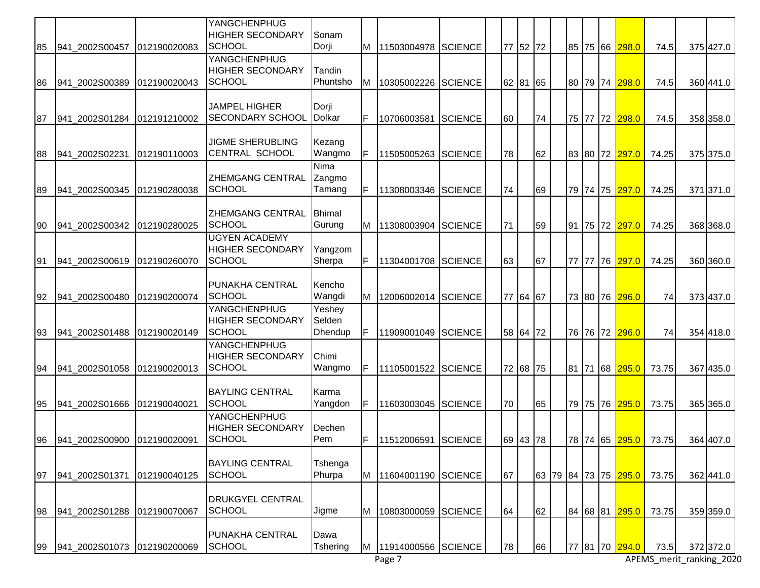|    |                               |              | YANGCHENPHUG<br><b>HIGHER SECONDARY</b><br><b>SCHOOL</b>         | Sonam                       |    |                       |                |    |          |    |    |       |                                        |       |           |
|----|-------------------------------|--------------|------------------------------------------------------------------|-----------------------------|----|-----------------------|----------------|----|----------|----|----|-------|----------------------------------------|-------|-----------|
| 85 | 941 2002S00457                | 012190020083 | YANGCHENPHUG                                                     | Dorji                       | M  | 11503004978           | <b>SCIENCE</b> |    | 77 52 72 |    |    |       | 85 75 66 298.0                         | 74.5  | 375 427.0 |
| 86 | 941 2002S00389                | 012190020043 | <b>HIGHER SECONDARY</b><br><b>SCHOOL</b>                         | Tandin<br>Phuntsho          | M  | 10305002226           | <b>SCIENCE</b> |    | 62 81 65 |    |    |       | 80 79 74 298.0                         | 74.5  | 360 441.0 |
| 87 | 941 2002S01284                | 012191210002 | <b>JAMPEL HIGHER</b><br>SECONDARY SCHOOL                         | Dorji<br><b>Dolkar</b>      | IF | 10706003581           | <b>SCIENCE</b> | 60 |          | 74 |    |       | 75 77 72 298.0                         | 74.5  | 358 358.0 |
| 88 | 941_2002S02231                | 012190110003 | <b>JIGME SHERUBLING</b><br>CENTRAL SCHOOL                        | Kezang<br>Wangmo            | IF | 11505005263           | <b>SCIENCE</b> | 78 |          | 62 |    |       | 83 80 72 297.0                         | 74.25 | 375 375.0 |
| 89 | 941_2002S00345                | 012190280038 | ZHEMGANG CENTRAL<br><b>SCHOOL</b>                                | Nima<br>Zangmo<br>Tamang    | IF | 11308003346           | <b>SCIENCE</b> | 74 |          | 69 |    |       | 79 74 75 297.0                         | 74.25 | 371 371.0 |
| 90 | 941 2002S00342                | 012190280025 | ZHEMGANG CENTRAL<br><b>SCHOOL</b>                                | <b>Bhimal</b><br>Gurung     | M  | 11308003904           | <b>SCIENCE</b> | 71 |          | 59 | 91 |       | 75 72 <mark>297.0</mark>               | 74.25 | 368 368.0 |
| 91 | 941 2002S00619                | 012190260070 | <b>UGYEN ACADEMY</b><br><b>HIGHER SECONDARY</b><br><b>SCHOOL</b> | Yangzom<br>Sherpa           | F  | 11304001708           | <b>SCIENCE</b> | 63 |          | 67 | 77 | 77 76 | 297.0                                  | 74.25 | 360 360.0 |
| 92 | 941 2002S00480                | 012190200074 | PUNAKHA CENTRAL<br><b>SCHOOL</b>                                 | Kencho<br>Wangdi            | M  | 12006002014           | <b>SCIENCE</b> |    | 77 64 67 |    |    |       | 73 80 76 296.0                         | 74    | 373 437.0 |
| 93 | 941_2002S01488                | 012190020149 | YANGCHENPHUG<br><b>HIGHER SECONDARY</b><br><b>SCHOOL</b>         | Yeshey<br>Selden<br>Dhendup | IF | 11909001049           | <b>SCIENCE</b> |    | 58 64 72 |    |    |       | 76 76 72 296.0                         | 74    | 354 418.0 |
| 94 | 941 2002S01058                | 012190020013 | YANGCHENPHUG<br><b>HIGHER SECONDARY</b><br><b>SCHOOL</b>         | Chimi<br>Wangmo             | F  | 11105001522           | <b>SCIENCE</b> |    | 72 68 75 |    |    |       | 81 71 68 295.0                         | 73.75 | 367 435.0 |
| 95 | 941 2002S01666                | 012190040021 | <b>BAYLING CENTRAL</b><br><b>SCHOOL</b>                          | Karma<br>Yangdon            | F  | 11603003045 SCIENCE   |                | 70 |          | 65 |    |       | 79 75 76 295.0                         | 73.75 | 365 365.0 |
| 96 | 941 2002 S00900 0121900 20091 |              | <b>YANGCHENPHUG</b><br><b>HIGHER SECONDARY</b><br><b>SCHOOL</b>  | Dechen<br>Pem               | F  | 11512006591 SCIENCE   |                |    | 69 43 78 |    |    |       | 78 74 65 295.0                         | 73.75 | 364 407.0 |
| 97 | 941 2002S01371                | 012190040125 | <b>BAYLING CENTRAL</b><br><b>SCHOOL</b>                          | Tshenga<br>Phurpa           | Iм | 11604001190           | <b>SCIENCE</b> | 67 |          |    |    |       | 63  79  84  73  75 <mark> 295.0</mark> | 73.75 | 362 441.0 |
| 98 | 941 2002S01288                | 012190070067 | <b>DRUKGYEL CENTRAL</b><br><b>SCHOOL</b>                         | Jigme                       | M  | 10803000059           | <b>SCIENCE</b> | 64 |          | 62 |    |       | 84 68 81 295.0                         | 73.75 | 359 359.0 |
| 99 | 941_2002S01073 012190200069   |              | PUNAKHA CENTRAL<br><b>SCHOOL</b>                                 | Dawa<br>Tshering            |    | M 11914000556 SCIENCE |                | 78 |          | 66 | 77 |       | 81 70 294.0                            | 73.5  | 372 372.0 |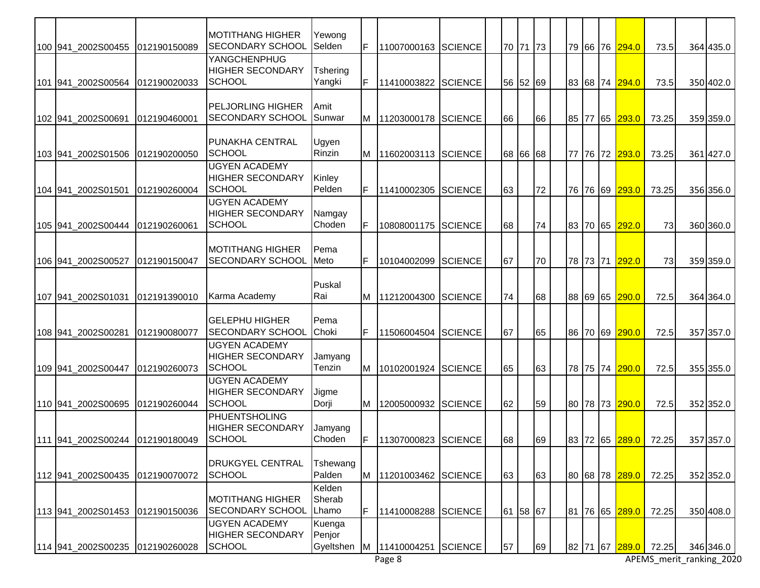|                                 |              | <b>MOTITHANG HIGHER</b>                                          | Yewong                        |    |                       |                |    |          |    |  |          |                |                      |                          |
|---------------------------------|--------------|------------------------------------------------------------------|-------------------------------|----|-----------------------|----------------|----|----------|----|--|----------|----------------|----------------------|--------------------------|
| 100 941 2002S00455              | 012190150089 | <b>SECONDARY SCHOOL</b>                                          | Selden                        | F. | 11007000163           | <b>SCIENCE</b> |    | 70 71 73 |    |  |          | 79 66 76 294.0 | 73.5                 | 364 435.0                |
| 101 941_2002S00564              | 012190020033 | YANGCHENPHUG<br><b>HIGHER SECONDARY</b><br><b>SCHOOL</b>         | Tshering<br>Yangki            | F. | 11410003822           | <b>SCIENCE</b> |    | 56 52 69 |    |  |          | 83 68 74 294.0 | 73.5                 | 350 402.0                |
| 102 941_2002S00691              | 012190460001 | <b>PELJORLING HIGHER</b><br>SECONDARY SCHOOL                     | Amit<br>Sunwar                |    | M 11203000178 SCIENCE |                | 66 |          | 66 |  |          | 85 77 65 293.0 | 73.25                | 359 359.0                |
| 103 941 2002S01506              | 012190200050 | PUNAKHA CENTRAL<br><b>SCHOOL</b>                                 | Ugyen<br>Rinzin               | M  | 11602003113           | <b>SCIENCE</b> |    | 68 66 68 |    |  |          | 77 76 72 293.0 | 73.25                | 361 427.0                |
| 104 941_2002S01501              | 012190260004 | <b>UGYEN ACADEMY</b><br><b>HIGHER SECONDARY</b><br><b>SCHOOL</b> | Kinley<br>Pelden              | F  | 11410002305           | <b>SCIENCE</b> | 63 |          | 72 |  |          | 76 76 69 293.0 | 73.25                | 356 356.0                |
| 105 941_2002S00444              | 012190260061 | <b>UGYEN ACADEMY</b><br><b>HIGHER SECONDARY</b><br><b>SCHOOL</b> | Namgay<br>Choden              | F. | 10808001175           | <b>SCIENCE</b> | 68 |          | 74 |  |          | 83 70 65 292.0 | 73                   | 360 360.0                |
| 106 941 2002 S005 27            | 012190150047 | <b>MOTITHANG HIGHER</b><br>SECONDARY SCHOOL                      | Pema<br>Meto                  | F  | 10104002099           | <b>SCIENCE</b> | 67 |          | 70 |  |          | 78 73 71 292.0 | 73                   | 359 359.0                |
| 107 941_2002S01031              | 012191390010 | Karma Academy                                                    | Puskal<br>Rai                 |    | M 11212004300         | <b>SCIENCE</b> | 74 |          | 68 |  |          | 88 69 65 290.0 | 72.5                 | 364 364.0                |
| 108 941 2002S00281              | 012190080077 | <b>GELEPHU HIGHER</b><br>SECONDARY SCHOOL                        | Pema<br>Choki                 | F  | 11506004504           | <b>SCIENCE</b> | 67 |          | 65 |  |          | 86 70 69 290.0 | 72.5                 | 357 357.0                |
| 109 941_2002S00447              | 012190260073 | <b>UGYEN ACADEMY</b><br><b>HIGHER SECONDARY</b><br>SCHOOL        | Jamyang<br>Tenzin             | M  | 10102001924           | <b>SCIENCE</b> | 65 |          | 63 |  |          | 78 75 74 290.0 | 72.5                 | 355 355.0                |
| 110 941_2002S00695              | 012190260044 | <b>UGYEN ACADEMY</b><br>HIGHER SECONDARY<br><b>SCHOOL</b>        | Jigme<br>Dorji                |    | M 12005000932         | <b>SCIENCE</b> | 62 |          | 59 |  |          | 80 78 73 290.0 | 72.5                 | 352 352.0                |
| 111 941 2002S00244 012190180049 |              | PHUENTSHOLING<br><b>HIGHER SECONDARY</b><br><b>SCHOOL</b>        | Jamyang<br>Choden             | F. | 11307000823 SCIENCE   |                | 68 |          | 69 |  |          |                | 83 72 65 289.0 72.25 | 357 357.0                |
| 112 941 2002S00435              | 012190070072 | <b>DRUKGYEL CENTRAL</b><br><b>SCHOOL</b>                         | Tshewang<br>Palden            |    | M 11201003462         | <b>SCIENCE</b> | 63 |          | 63 |  |          | 80 68 78 289.0 | 72.25                | 352 352.0                |
| 113 941 2002S01453              | 012190150036 | <b>MOTITHANG HIGHER</b><br><b>SECONDARY SCHOOL</b>               | Kelden<br>Sherab<br>Lhamo     | F  | 11410008288           | <b>SCIENCE</b> |    | 61 58 67 |    |  |          | 81 76 65 289.0 | 72.25                | 350 408.0                |
| 114 941_2002S00235              | 012190260028 | <b>UGYEN ACADEMY</b><br><b>HIGHER SECONDARY</b><br><b>SCHOOL</b> | Kuenga<br>Penjor<br>Gyeltshen | ΙM | 11410004251           | <b>SCIENCE</b> | 57 |          | 69 |  | 82 71 67 | 289.0          | 72.25                | 346 346.0                |
|                                 |              |                                                                  |                               |    | Page 8                |                |    |          |    |  |          |                |                      | APEMS_merit_ranking_2020 |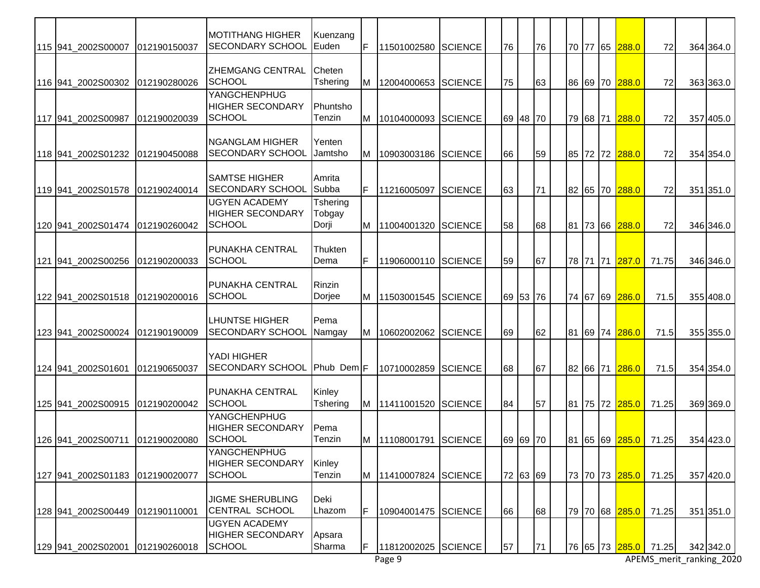|                    |              | <b>MOTITHANG HIGHER</b>                                          |                             |    |                         |                |    |          |    |  |                             |                      |           |
|--------------------|--------------|------------------------------------------------------------------|-----------------------------|----|-------------------------|----------------|----|----------|----|--|-----------------------------|----------------------|-----------|
| 115 941_2002S00007 | 012190150037 | <b>SECONDARY SCHOOL</b>                                          | Kuenzang<br>Euden           | F  | 11501002580             | <b>SCIENCE</b> | 76 |          | 76 |  | 70 77 65 288.0              | 72                   | 364 364.0 |
| 116 941 2002S00302 | 012190280026 | <b>ZHEMGANG CENTRAL</b><br><b>SCHOOL</b>                         | Cheten<br>Tshering          | IМ | 12004000653 SCIENCE     |                | 75 |          | 63 |  | 86 69 70 288.0              | 72                   | 363 363.0 |
| 117 941_2002S00987 | 012190020039 | YANGCHENPHUG<br><b>HIGHER SECONDARY</b><br><b>SCHOOL</b>         | Phuntsho<br>Tenzin          | IМ | 10104000093 SCIENCE     |                |    | 69 48 70 |    |  | 79 68 71 288.0              | 72                   | 357 405.0 |
| 118 941 2002S01232 | 012190450088 | <b>NGANGLAM HIGHER</b><br><b>SECONDARY SCHOOL</b>                | Yenten<br>Jamtsho           | Iм | 10903003186             | <b>SCIENCE</b> | 66 |          | 59 |  | 85 72 72 <mark>288.0</mark> | 72                   | 354 354.0 |
| 119 941 2002S01578 | 012190240014 | <b>SAMTSE HIGHER</b><br><b>SECONDARY SCHOOL</b>                  | Amrita<br>Subba             | F  | 11216005097             | <b>SCIENCE</b> | 63 |          | 71 |  | 82 65 70 288.0              | 72                   | 351 351.0 |
| 120 941_2002S01474 | 012190260042 | <b>UGYEN ACADEMY</b><br><b>HIGHER SECONDARY</b><br><b>SCHOOL</b> | Tshering<br>Tobgay<br>Dorji | M  | 11004001320             | <b>SCIENCE</b> | 58 |          | 68 |  | 81 73 66 288.0              | 72                   | 346 346.0 |
| 121 941 2002S00256 | 012190200033 | <b>PUNAKHA CENTRAL</b><br><b>SCHOOL</b>                          | Thukten<br>Dema             | F  | 11906000110 SCIENCE     |                | 59 |          | 67 |  | 78 71 71 287.0              | 71.75                | 346 346.0 |
| 122 941_2002S01518 | 012190200016 | <b>PUNAKHA CENTRAL</b><br><b>SCHOOL</b>                          | Rinzin<br>Dorjee            | ΙM | 11503001545             | <b>SCIENCE</b> |    | 69 53 76 |    |  | 74 67 69 286.0              | 71.5                 | 355 408.0 |
| 123 941 2002S00024 | 012190190009 | <b>LHUNTSE HIGHER</b><br>SECONDARY SCHOOL                        | Pema<br>Namgay              | Iм | 10602002062             | <b>SCIENCE</b> | 69 |          | 62 |  | 81 69 74 286.0              | 71.5                 | 355 355.0 |
| 124 941_2002S01601 | 012190650037 | YADI HIGHER<br>SECONDARY SCHOOL Phub Dem                         |                             |    | 10710002859             | <b>SCIENCE</b> | 68 |          | 67 |  | 82 66 71 286.0              | 71.5                 | 354 354.0 |
| 125 941_2002S00915 | 012190200042 | <b>PUNAKHA CENTRAL</b><br><b>SCHOOL</b>                          | Kinley<br><b>Tshering</b>   | M  | 11411001520             | <b>SCIENCE</b> | 84 |          | 57 |  | 81 75 72 285.0              | 71.25                | 369 369.0 |
| 126 941 2002S00711 | 012190020080 | YANGCHENPHUG<br><b>HIGHER SECONDARY</b><br><b>SCHOOL</b>         | Pema<br>Tenzin              |    | M   11108001791 SCIENCE |                |    | 69 69 70 |    |  |                             | 81 65 69 285.0 71.25 | 354 423.0 |
| 127 941 2002S01183 | 012190020077 | YANGCHENPHUG<br><b>HIGHER SECONDARY</b><br><b>SCHOOL</b>         | Kinley<br>Tenzin            |    | M 11410007824           | <b>SCIENCE</b> |    | 72 63 69 |    |  | 73 70 73 285.0              | 71.25                | 357 420.0 |
| 128 941 2002S00449 | 012190110001 | <b>JIGME SHERUBLING</b><br><b>CENTRAL SCHOOL</b>                 | Deki<br>Lhazom              | ΙF | 10904001475             | <b>SCIENCE</b> | 66 |          | 68 |  | 79 70 68 <mark>285.0</mark> | 71.25                | 351 351.0 |
| 129 941_2002S02001 | 012190260018 | <b>UGYEN ACADEMY</b><br><b>HIGHER SECONDARY</b><br><b>SCHOOL</b> | Apsara<br>Sharma            | IF | 11812002025 SCIENCE     |                | 57 |          | 71 |  | 76 65 73 285.0              | 71.25                | 342 342.0 |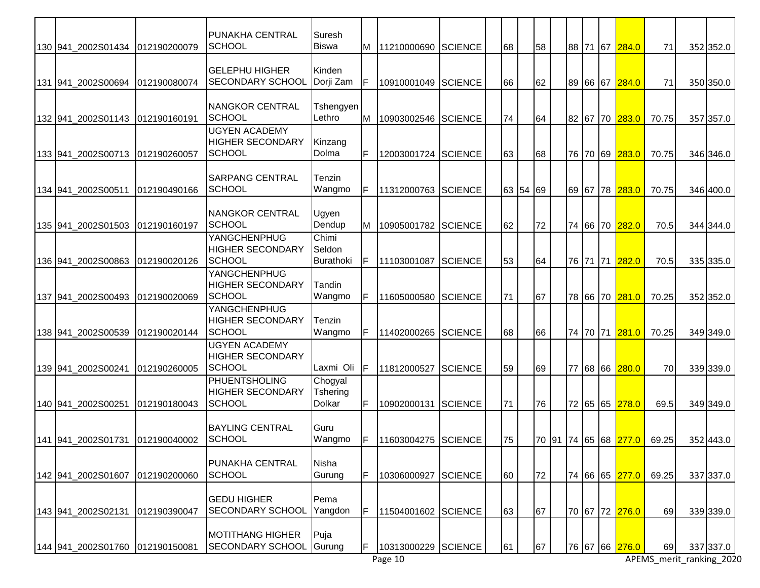|                    |              | PUNAKHA CENTRAL                                                  | Suresh                        |     |                     |                |       |    |    |    |  |                                   |       |           |
|--------------------|--------------|------------------------------------------------------------------|-------------------------------|-----|---------------------|----------------|-------|----|----|----|--|-----------------------------------|-------|-----------|
| 130 941_2002S01434 | 012190200079 | <b>SCHOOL</b>                                                    | <b>Biswa</b>                  | M   | 11210000690         | <b>SCIENCE</b> | 68    | 58 |    |    |  | 88 71 67 284.0                    | 71    | 352 352.0 |
| 131 941 2002S00694 | 012190080074 | <b>GELEPHU HIGHER</b><br>SECONDARY SCHOOL                        | Kinden<br>Dorji Zam           | IF  | 10910001049         | <b>SCIENCE</b> | 66    |    | 62 |    |  | 89 66 67 284.0                    | 71    | 350 350.0 |
| 132 941_2002S01143 | 012190160191 | NANGKOR CENTRAL<br>SCHOOL                                        | Tshengyen<br>Lethro           | Iм  | 10903002546         | <b>SCIENCE</b> | 74    |    | 64 |    |  | 82 67 70 283.0                    | 70.75 | 357 357.0 |
| 133 941_2002S00713 | 012190260057 | <b>UGYEN ACADEMY</b><br><b>HIGHER SECONDARY</b><br><b>SCHOOL</b> | Kinzang<br>Dolma              | IF  | 12003001724 SCIENCE |                | 63    | 68 |    |    |  | 76 70 69 283.0                    | 70.75 | 346 346.0 |
| 134 941_2002S00511 | 012190490166 | <b>SARPANG CENTRAL</b><br><b>SCHOOL</b>                          | Tenzin<br>Wangmo              | IF  | 11312000763         | <b>SCIENCE</b> | 63 54 | 69 |    |    |  | 69 67 78 <mark>283.0</mark>       | 70.75 | 346 400.0 |
| 135 941_2002S01503 | 012190160197 | <b>NANGKOR CENTRAL</b><br><b>SCHOOL</b>                          | Ugyen<br>Dendup               | Iм  | 10905001782         | <b>SCIENCE</b> | 62    |    | 72 |    |  | 74 66 70 282.0                    | 70.5  | 344 344.0 |
| 136 941_2002S00863 | 012190020126 | YANGCHENPHUG<br><b>HIGHER SECONDARY</b><br><b>SCHOOL</b>         | Chimi<br>Seldon<br>Burathoki  | IF  | 11103001087         | <b>SCIENCE</b> | 53    | 64 |    |    |  | 76 71 71 282.0                    | 70.5  | 335 335.0 |
| 137 941_2002S00493 | 012190020069 | YANGCHENPHUG<br><b>HIGHER SECONDARY</b><br><b>SCHOOL</b>         | Tandin<br>Wangmo              | IF  | 11605000580         | <b>SCIENCE</b> | 71    | 67 |    |    |  | 78 66 70 281.0                    | 70.25 | 352 352.0 |
| 138 941 2002S00539 | 012190020144 | <b>YANGCHENPHUG</b><br><b>HIGHER SECONDARY</b><br>SCHOOL         | Tenzin<br>Wangmo              | IF  | 11402000265         | <b>SCIENCE</b> | 68    | 66 |    |    |  | 74 70 71 281.0                    | 70.25 | 349 349.0 |
| 139 941_2002S00241 | 012190260005 | <b>UGYEN ACADEMY</b><br><b>HIGHER SECONDARY</b><br><b>SCHOOL</b> | Laxmi Oli                     | IF. | 11812000527         | <b>SCIENCE</b> | 59    | 69 |    | 77 |  | 68 66 280.0                       | 70    | 339 339.0 |
| 140 941_2002S00251 | 012190180043 | <b>PHUENTSHOLING</b><br><b>HIGHER SECONDARY</b><br><b>SCHOOL</b> | Chogyal<br>Tshering<br>Dolkar | F   | 10902000131         | <b>SCIENCE</b> | 71    | 76 |    |    |  | 72 65 65 278.0                    | 69.5  | 349 349.0 |
| 141 941 2002S01731 | 012190040002 | <b>BAYLING CENTRAL</b><br><b>SCHOOL</b>                          | Guru<br>Wangmo                | IF. | 11603004275 SCIENCE |                | 75    |    |    |    |  | 70 91 74 65 68 <mark>277.0</mark> | 69.25 | 352 443.0 |
| 142 941 2002S01607 | 012190200060 | <b>PUNAKHA CENTRAL</b><br><b>SCHOOL</b>                          | Nisha<br>Gurung               | ΙF  | 10306000927         | <b>SCIENCE</b> | 60    |    | 72 |    |  | 74 66 65 277.0                    | 69.25 | 337 337.0 |
| 143 941_2002S02131 | 012190390047 | <b>GEDU HIGHER</b><br>SECONDARY SCHOOL                           | Pema<br>Yangdon               | IF  | 11504001602 SCIENCE |                | 63    | 67 |    |    |  | 70 67 72 <mark>276.0</mark>       | 69    | 339 339.0 |
| 144 941_2002S01760 | 012190150081 | <b>MOTITHANG HIGHER</b><br><b>SECONDARY SCHOOL</b>               | Puja<br>Gurung                | IF. | 10313000229 SCIENCE |                | 61    | 67 |    |    |  | 76 67 66 276.0                    | 69    | 337 337.0 |